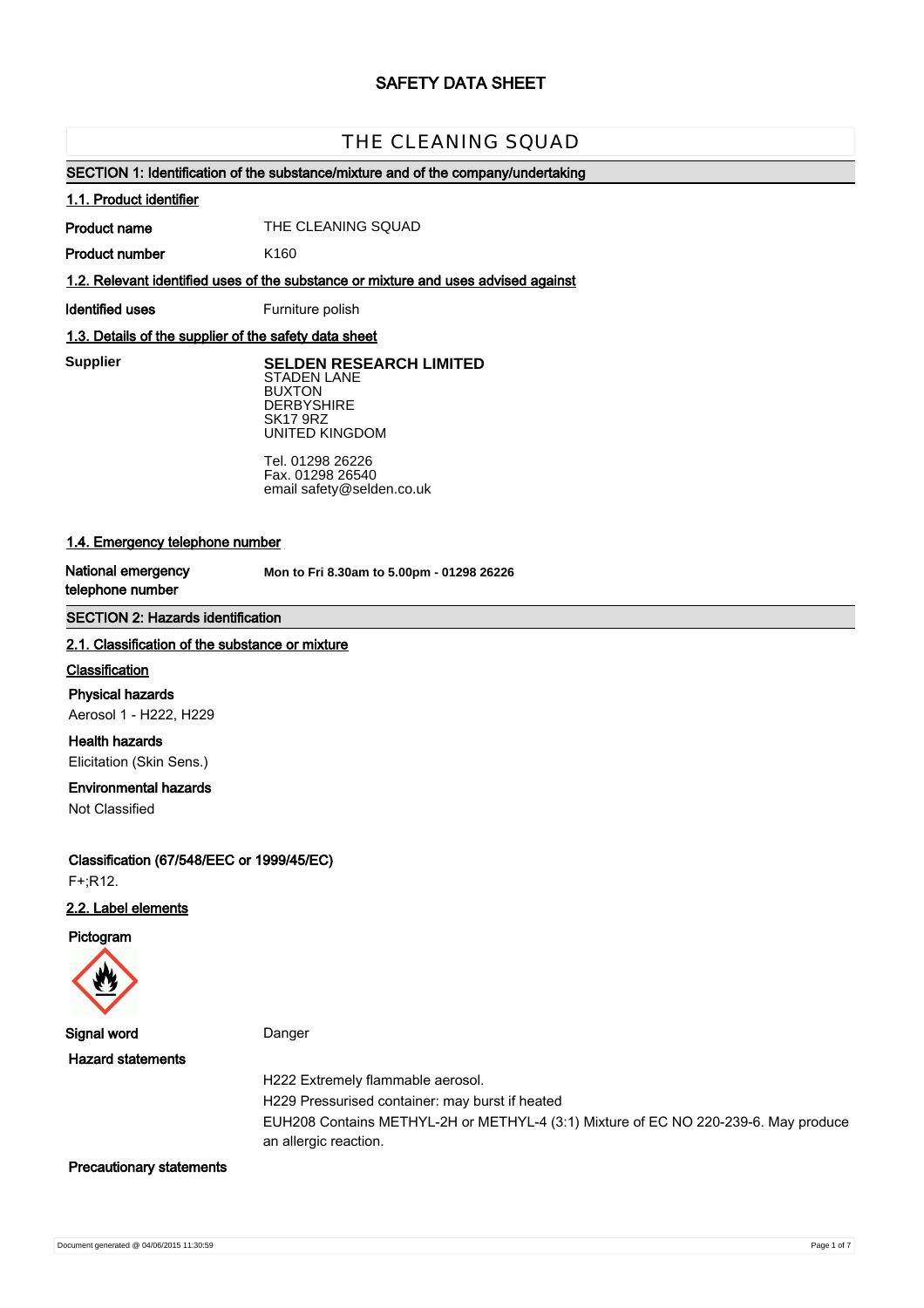# **SAFETY DATA SHEET**

# THE CLEANING SQUAD

# **SECTION 1: Identification of the substance/mixture and of the company/undertaking**

#### **1.1. Product identifier**

**Product name**

THE CLEANING SQUAD

**Product number**

**1.2. Relevant identified uses of the substance or mixture and uses advised against**

**Identified uses** Furniture polish

K160

# **1.3. Details of the supplier of the safety data sheet**

**Supplier** 

**SELDEN RESEARCH LIMITED** STADEN LANE BUXTON **DERBYSHIRE** SK17 9RZ UNITED KINGDOM

Tel. 01298 26226 Fax. 01298 26540 email safety@selden.co.uk

# **1.4. Emergency telephone number**

**National emergency telephone number**

**Mon to Fri 8.30am to 5.00pm - 01298 26226**

# **SECTION 2: Hazards identification**

#### **2.1. Classification of the substance or mixture**

#### **Classification**

**Physical hazards** Aerosol 1 - H222, H229

**Health hazards** Elicitation (Skin Sens.)

## **Environmental hazards**

Not Classified

**Classification (67/548/EEC or 1999/45/EC)** F+;R12.

# **2.2. Label elements**

**Pictogram**



**Signal word** Danger

**Hazard statements**

H222 Extremely flammable aerosol.

H229 Pressurised container: may burst if heated

EUH208 Contains METHYL-2H or METHYL-4 (3:1) Mixture of EC NO 220-239-6. May produce an allergic reaction.

#### **Precautionary statements**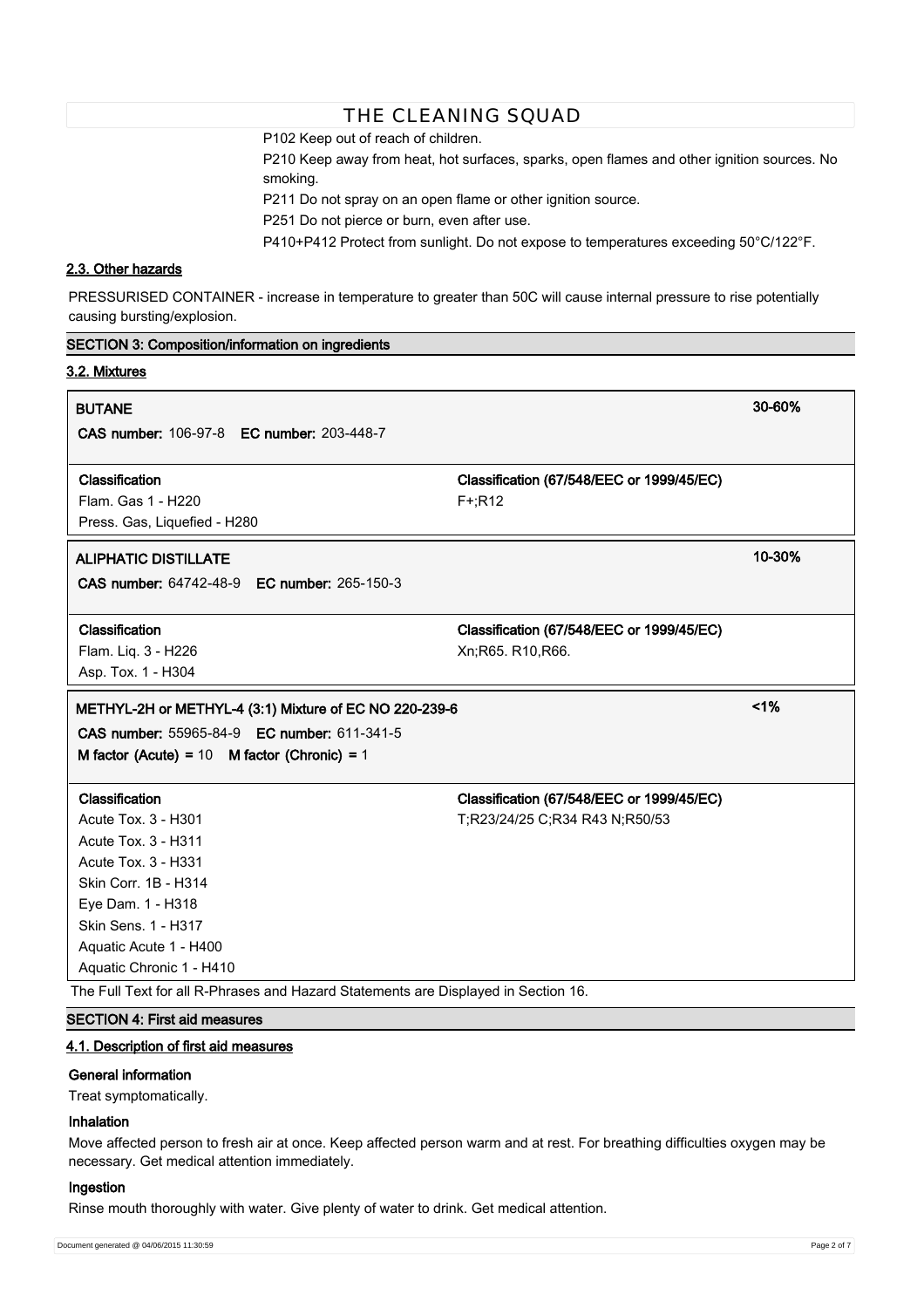P102 Keep out of reach of children.

P210 Keep away from heat, hot surfaces, sparks, open flames and other ignition sources. No smoking.

P211 Do not spray on an open flame or other ignition source.

P251 Do not pierce or burn, even after use.

P410+P412 Protect from sunlight. Do not expose to temperatures exceeding 50°C/122°F.

# **2.3. Other hazards**

**SECTION 3: Composition/information on ingredients**

PRESSURISED CONTAINER - increase in temperature to greater than 50C will cause internal pressure to rise potentially causing bursting/explosion.

| 3.2. Mixtures                                          |                                           |        |
|--------------------------------------------------------|-------------------------------------------|--------|
| <b>BUTANE</b>                                          |                                           | 30-60% |
| <b>CAS number: 106-97-8 EC number: 203-448-7</b>       |                                           |        |
| Classification                                         | Classification (67/548/EEC or 1999/45/EC) |        |
| Flam. Gas 1 - H220                                     | $F^{+}$ ;R12                              |        |
| Press. Gas, Liquefied - H280                           |                                           |        |
| <b>ALIPHATIC DISTILLATE</b>                            |                                           | 10-30% |
| CAS number: 64742-48-9 EC number: 265-150-3            |                                           |        |
| Classification                                         | Classification (67/548/EEC or 1999/45/EC) |        |
| Flam. Liq. 3 - H226                                    | Xn; R65. R10, R66.                        |        |
| Asp. Tox. 1 - H304                                     |                                           |        |
| METHYL-2H or METHYL-4 (3:1) Mixture of EC NO 220-239-6 |                                           | 1%     |
|                                                        |                                           |        |
| CAS number: 55965-84-9 EC number: 611-341-5            |                                           |        |
| M factor (Acute) = $10$ M factor (Chronic) = $1$       |                                           |        |
| Classification                                         | Classification (67/548/EEC or 1999/45/EC) |        |
| Acute Tox. 3 - H301                                    | T;R23/24/25 C;R34 R43 N;R50/53            |        |
| <b>Acute Tox. 3 - H311</b>                             |                                           |        |
| <b>Acute Tox. 3 - H331</b>                             |                                           |        |
| Skin Corr. 1B - H314                                   |                                           |        |
| Eye Dam. 1 - H318                                      |                                           |        |
| Skin Sens. 1 - H317                                    |                                           |        |
| Aquatic Acute 1 - H400                                 |                                           |        |
| Aquatic Chronic 1 - H410                               |                                           |        |

# **SECTION 4: First aid measures**

# **4.1. Description of first aid measures**

#### **General information**

Treat symptomatically.

# **Inhalation**

Move affected person to fresh air at once. Keep affected person warm and at rest. For breathing difficulties oxygen may be necessary. Get medical attention immediately.

#### **Ingestion**

Rinse mouth thoroughly with water. Give plenty of water to drink. Get medical attention.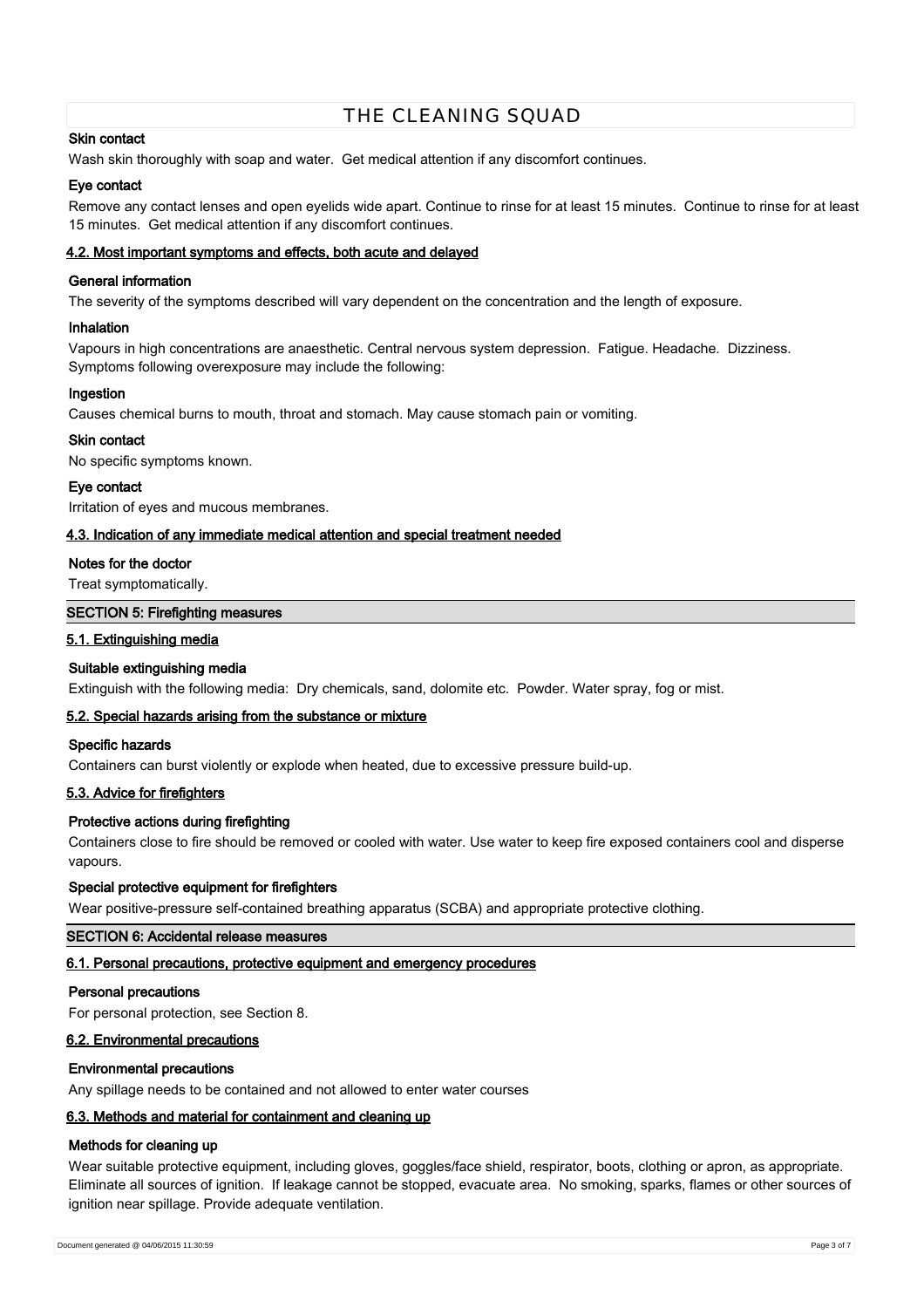# **Skin contact**

Wash skin thoroughly with soap and water. Get medical attention if any discomfort continues.

# **Eye contact**

Remove any contact lenses and open eyelids wide apart. Continue to rinse for at least 15 minutes. Continue to rinse for at least 15 minutes. Get medical attention if any discomfort continues.

## **4.2. Most important symptoms and effects, both acute and delayed**

# **General information**

The severity of the symptoms described will vary dependent on the concentration and the length of exposure.

### **Inhalation**

Vapours in high concentrations are anaesthetic. Central nervous system depression. Fatigue. Headache. Dizziness. Symptoms following overexposure may include the following:

## **Ingestion**

Causes chemical burns to mouth, throat and stomach. May cause stomach pain or vomiting.

## **Skin contact**

No specific symptoms known.

#### **Eye contact**

Irritation of eyes and mucous membranes.

## **4.3. Indication of any immediate medical attention and special treatment needed**

## **Notes for the doctor**

Treat symptomatically.

# **SECTION 5: Firefighting measures**

## **5.1. Extinguishing media**

# **Suitable extinguishing media**

Extinguish with the following media: Dry chemicals, sand, dolomite etc. Powder. Water spray, fog or mist.

#### **5.2. Special hazards arising from the substance or mixture**

#### **Specific hazards**

Containers can burst violently or explode when heated, due to excessive pressure build-up.

## **5.3. Advice for firefighters**

# **Protective actions during firefighting**

Containers close to fire should be removed or cooled with water. Use water to keep fire exposed containers cool and disperse vapours.

#### **Special protective equipment for firefighters**

Wear positive-pressure self-contained breathing apparatus (SCBA) and appropriate protective clothing.

#### **SECTION 6: Accidental release measures**

# **6.1. Personal precautions, protective equipment and emergency procedures**

#### **Personal precautions**

For personal protection, see Section 8.

## **6.2. Environmental precautions**

#### **Environmental precautions**

Any spillage needs to be contained and not allowed to enter water courses

# **6.3. Methods and material for containment and cleaning up**

# **Methods for cleaning up**

Wear suitable protective equipment, including gloves, goggles/face shield, respirator, boots, clothing or apron, as appropriate. Eliminate all sources of ignition. If leakage cannot be stopped, evacuate area. No smoking, sparks, flames or other sources of ignition near spillage. Provide adequate ventilation.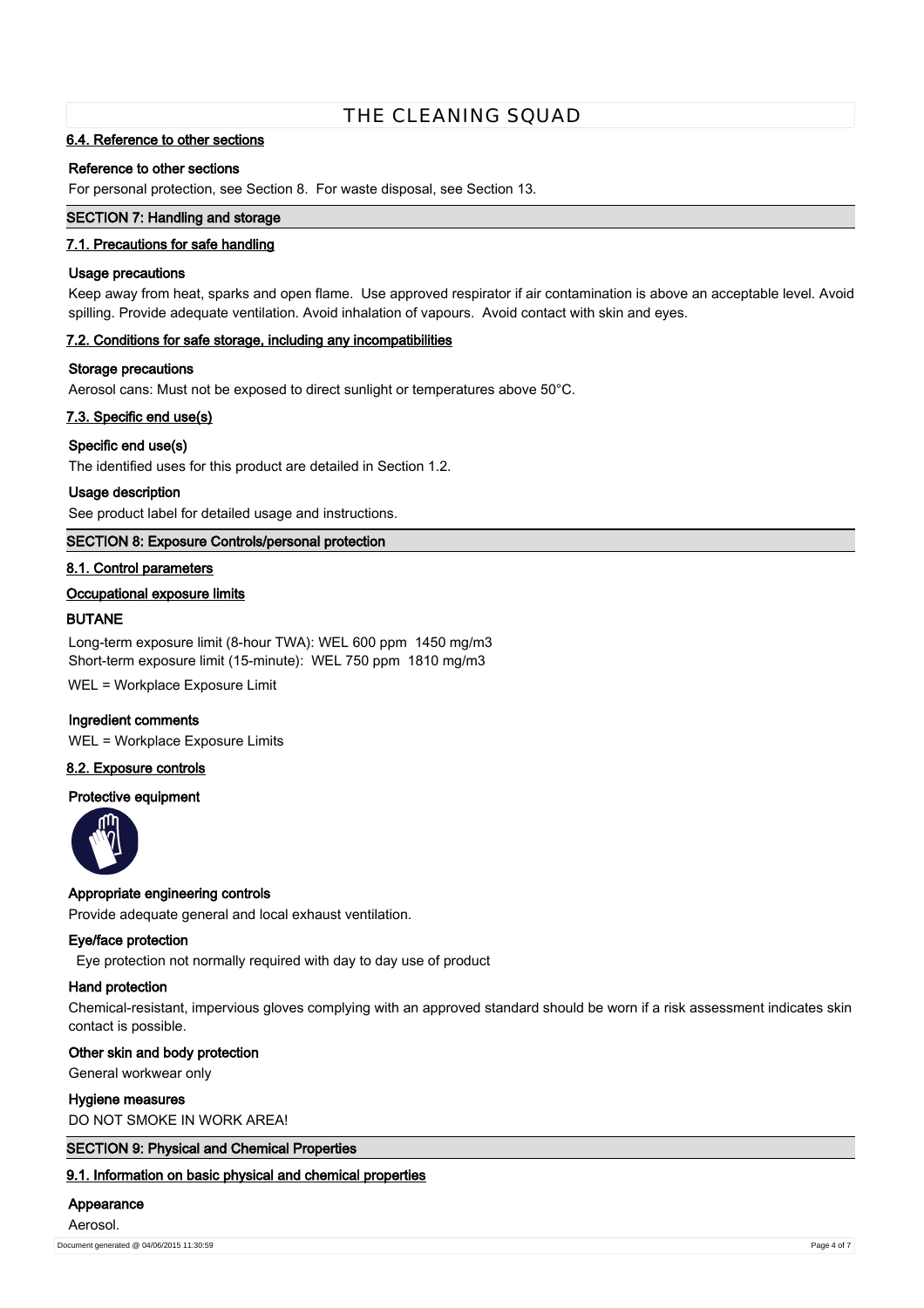# **6.4. Reference to other sections**

## **Reference to other sections**

For personal protection, see Section 8. For waste disposal, see Section 13.

# **SECTION 7: Handling and storage**

## **7.1. Precautions for safe handling**

### **Usage precautions**

Keep away from heat, sparks and open flame. Use approved respirator if air contamination is above an acceptable level. Avoid spilling. Provide adequate ventilation. Avoid inhalation of vapours. Avoid contact with skin and eyes.

## **7.2. Conditions for safe storage, including any incompatibilities**

#### **Storage precautions**

Aerosol cans: Must not be exposed to direct sunlight or temperatures above 50°C.

## **7.3. Specific end use(s)**

## **Specific end use(s)**

The identified uses for this product are detailed in Section 1.2.

#### **Usage description**

See product label for detailed usage and instructions.

# **SECTION 8: Exposure Controls/personal protection**

## **8.1. Control parameters**

## **Occupational exposure limits**

## **BUTANE**

Long-term exposure limit (8-hour TWA): WEL 600 ppm 1450 mg/m3 Short-term exposure limit (15-minute): WEL 750 ppm 1810 mg/m3

WEL = Workplace Exposure Limit

#### **Ingredient comments**

WEL = Workplace Exposure Limits

# **8.2. Exposure controls**

# **Protective equipment**



# **Appropriate engineering controls**

Provide adequate general and local exhaust ventilation.

#### **Eye/face protection**

Eye protection not normally required with day to day use of product

#### **Hand protection**

Chemical-resistant, impervious gloves complying with an approved standard should be worn if a risk assessment indicates skin contact is possible.

## **Other skin and body protection**

General workwear only

## **Hygiene measures**

DO NOT SMOKE IN WORK AREA!

# **SECTION 9: Physical and Chemical Properties**

**9.1. Information on basic physical and chemical properties**

# **Appearance**

Aerosol.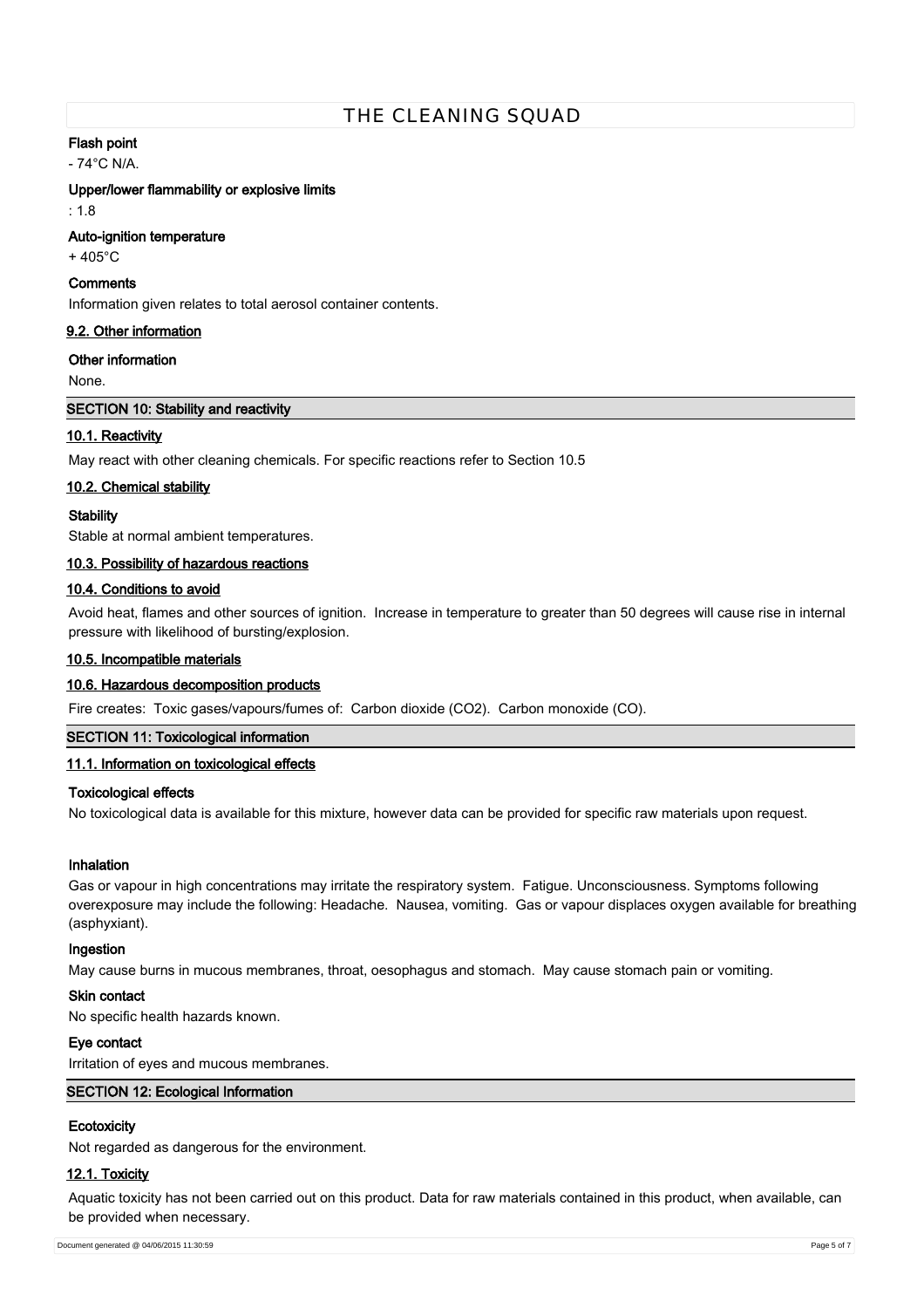# **Flash point**

- 74°C N/A.

### **Upper/lower flammability or explosive limits**

 $\cdot$  1.8

## **Auto-ignition temperature**

+ 405°C

# **Comments**

Information given relates to total aerosol container contents.

# **9.2. Other information**

## **Other information**

None.

# **SECTION 10: Stability and reactivity**

# **10.1. Reactivity**

May react with other cleaning chemicals. For specific reactions refer to Section 10.5

# **10.2. Chemical stability**

## **Stability**

Stable at normal ambient temperatures.

## **10.3. Possibility of hazardous reactions**

# **10.4. Conditions to avoid**

Avoid heat, flames and other sources of ignition. Increase in temperature to greater than 50 degrees will cause rise in internal pressure with likelihood of bursting/explosion.

# **10.5. Incompatible materials**

#### **10.6. Hazardous decomposition products**

Fire creates: Toxic gases/vapours/fumes of: Carbon dioxide (CO2). Carbon monoxide (CO).

# **SECTION 11: Toxicological information**

# **11.1. Information on toxicological effects**

# **Toxicological effects**

No toxicological data is available for this mixture, however data can be provided for specific raw materials upon request.

# **Inhalation**

Gas or vapour in high concentrations may irritate the respiratory system. Fatigue. Unconsciousness. Symptoms following overexposure may include the following: Headache. Nausea, vomiting. Gas or vapour displaces oxygen available for breathing (asphyxiant).

#### **Ingestion**

May cause burns in mucous membranes, throat, oesophagus and stomach. May cause stomach pain or vomiting.

### **Skin contact**

No specific health hazards known.

# **Eye contact**

Irritation of eyes and mucous membranes.

# **SECTION 12: Ecological Information**

# **Ecotoxicity**

Not regarded as dangerous for the environment.

# **12.1. Toxicity**

Aquatic toxicity has not been carried out on this product. Data for raw materials contained in this product, when available, can be provided when necessary.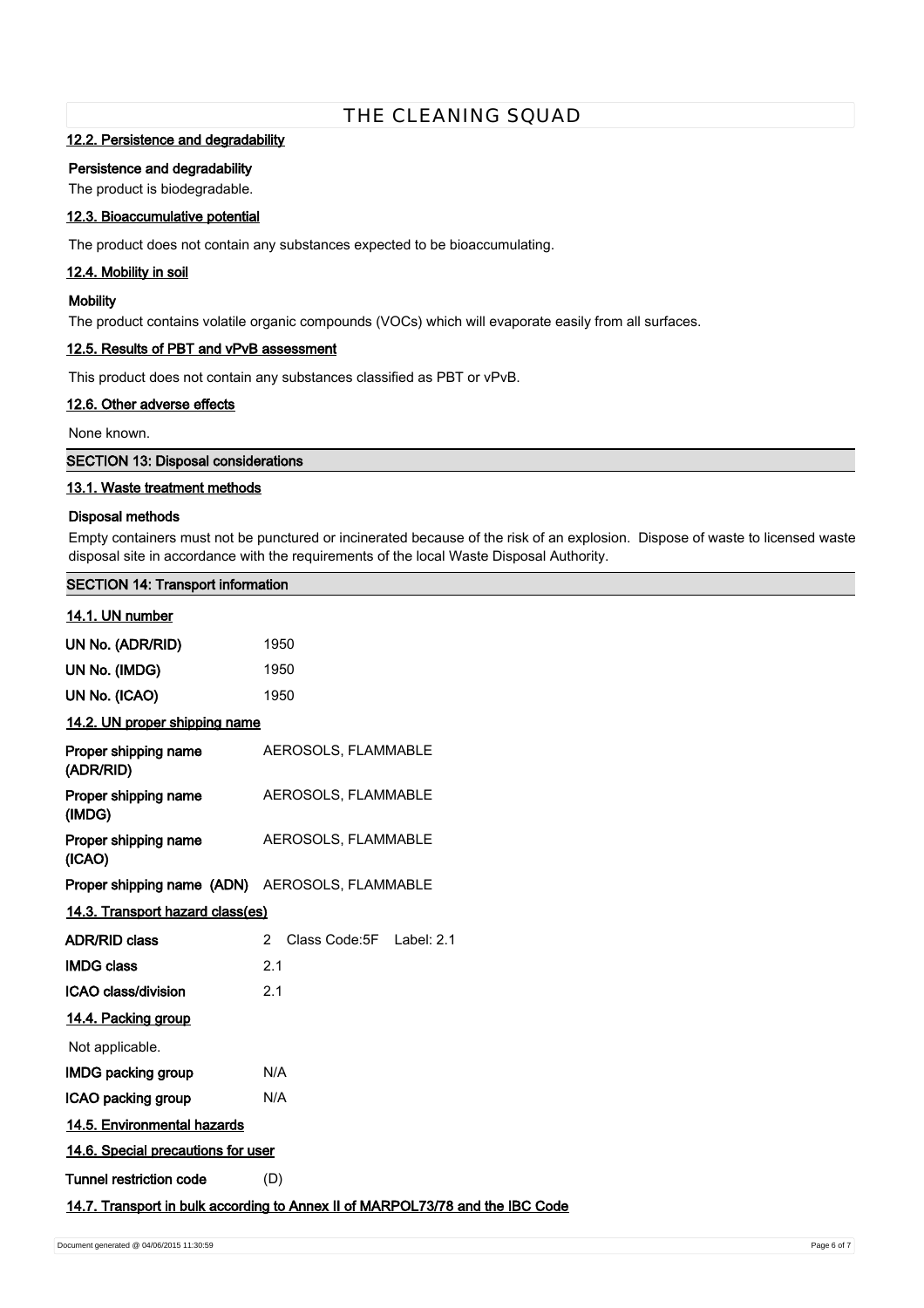# **12.2. Persistence and degradability**

## **Persistence and degradability**

The product is biodegradable.

# **12.3. Bioaccumulative potential**

The product does not contain any substances expected to be bioaccumulating.

# **12.4. Mobility in soil**

# **Mobility**

The product contains volatile organic compounds (VOCs) which will evaporate easily from all surfaces.

# **12.5. Results of PBT and vPvB assessment**

This product does not contain any substances classified as PBT or vPvB.

#### **12.6. Other adverse effects**

None known.

**SECTION 13: Disposal considerations**

## **13.1. Waste treatment methods**

## **Disposal methods**

Empty containers must not be punctured or incinerated because of the risk of an explosion. Dispose of waste to licensed waste disposal site in accordance with the requirements of the local Waste Disposal Authority.

# **SECTION 14: Transport information**

# **14.1. UN number**

| 1950                                                                          |  |  |  |
|-------------------------------------------------------------------------------|--|--|--|
| 1950                                                                          |  |  |  |
| 1950                                                                          |  |  |  |
| 14.2. UN proper shipping name                                                 |  |  |  |
| AEROSOLS, FLAMMABLE                                                           |  |  |  |
| AEROSOLS, FLAMMABLE                                                           |  |  |  |
| AEROSOLS, FLAMMABLE                                                           |  |  |  |
| <b>Proper shipping name (ADN)</b> AEROSOLS, FLAMMABLE                         |  |  |  |
| 14.3. Transport hazard class(es)                                              |  |  |  |
| Class Code: 5F Label: 2.1<br>$\mathcal{P}$                                    |  |  |  |
| 2.1                                                                           |  |  |  |
| 2.1                                                                           |  |  |  |
| 14.4. Packing group                                                           |  |  |  |
|                                                                               |  |  |  |
| N/A                                                                           |  |  |  |
| N/A                                                                           |  |  |  |
| 14.5. Environmental hazards                                                   |  |  |  |
| 14.6. Special precautions for user                                            |  |  |  |
| (D)                                                                           |  |  |  |
| 14.7. Transport in bulk according to Annex II of MARPOL73/78 and the IBC Code |  |  |  |
|                                                                               |  |  |  |